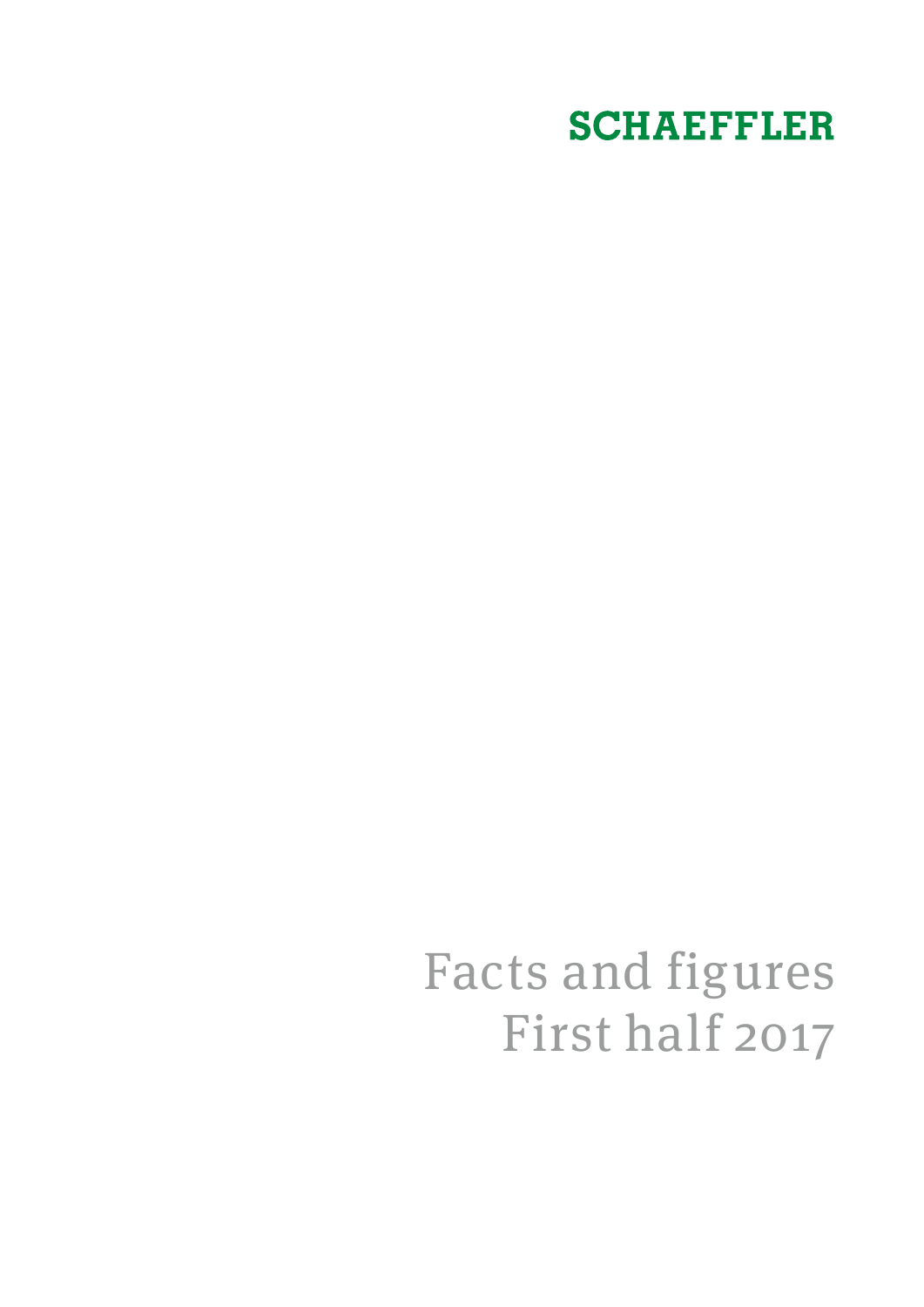## **SCHAEFFLER**

# Facts and figures First half 2017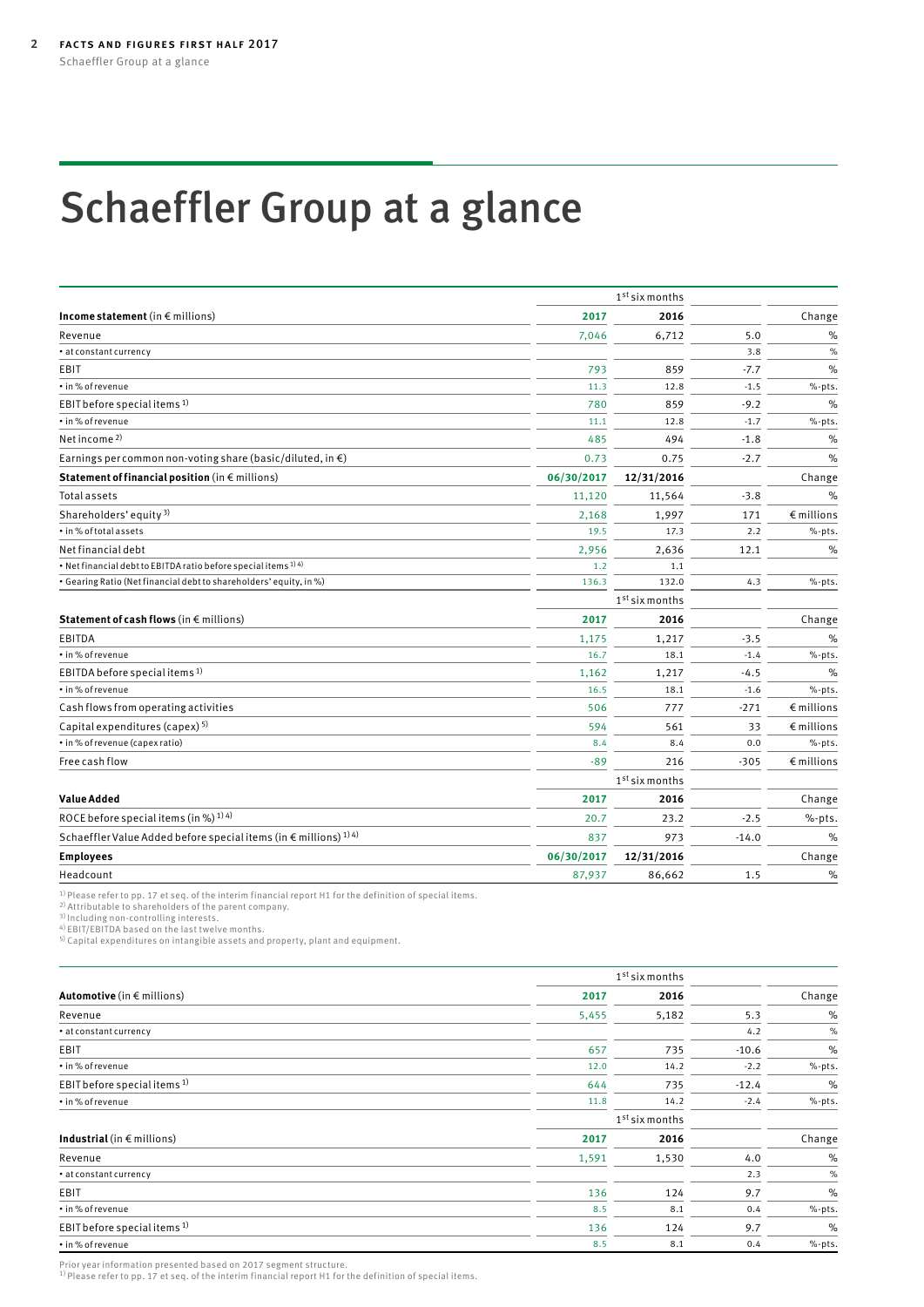# <span id="page-1-0"></span>Schaeffler Group at a glance

|                                                                             |                  | $1st$ six months |         |                     |
|-----------------------------------------------------------------------------|------------------|------------------|---------|---------------------|
| Income statement (in $\epsilon$ millions)                                   | 2017             | 2016             |         | Change              |
| Revenue                                                                     | 7,046            | 6,712            | 5.0     | %                   |
| • at constant currency                                                      |                  |                  | 3.8     | $\%$                |
| EBIT                                                                        | 793              | 859              | $-7.7$  | %                   |
| • in % of revenue                                                           | 11.3             | 12.8             | $-1.5$  | $%$ -pts.           |
| EBIT before special items <sup>1)</sup>                                     | 780              | 859              | $-9.2$  | %                   |
| • in % of revenue                                                           | 11.1             | 12.8             | $-1.7$  | %-pts.              |
| Net income <sup>2)</sup>                                                    | 485              | 494              | $-1.8$  | %                   |
| Earnings per common non-voting share (basic/diluted, in $\epsilon$ )        | 0.73             | 0.75             | $-2.7$  | %                   |
| Statement of financial position (in $\epsilon$ millions)                    | 06/30/2017       | 12/31/2016       |         | Change              |
| <b>Total assets</b>                                                         | 11,120           | 11,564           | $-3.8$  | %                   |
| Shareholders' equity <sup>3)</sup>                                          | 2,168            | 1,997            | 171     | $\epsilon$ millions |
| • in % of total assets                                                      | 19.5             | 17.3             | 2.2     | $% -pts.$           |
| Net financial debt                                                          | 2,956            | 2,636            | 12.1    | %                   |
| • Net financial debt to EBITDA ratio before special items <sup>1) 4)</sup>  | 1.2              | 1.1              |         |                     |
| · Gearing Ratio (Net financial debt to shareholders' equity, in %)          | 136.3            | 132.0            | 4.3     | %-pts.              |
|                                                                             |                  | $1st$ six months |         |                     |
| Statement of cash flows (in € millions)                                     | 2017             | 2016             |         | Change              |
| <b>EBITDA</b>                                                               | 1,175            | 1,217            | $-3.5$  | $\%$                |
| • in % of revenue                                                           | 16.7             | 18.1             | $-1.4$  | %-pts.              |
| EBITDA before special items <sup>1)</sup>                                   | 1,162            | 1,217            | $-4.5$  | %                   |
| • in % of revenue                                                           | 16.5             | 18.1             | $-1.6$  | $%$ -pts.           |
| Cash flows from operating activities                                        | 506              | 777              | $-271$  | $\epsilon$ millions |
| Capital expenditures (capex) <sup>5)</sup>                                  | 594              | 561              | 33      | $\epsilon$ millions |
| • in % of revenue (capex ratio)                                             | 8.4              | 8.4              | 0.0     | $% -pts.$           |
| Free cash flow                                                              | $-89$            | 216              | $-305$  | $\epsilon$ millions |
|                                                                             | $1st$ six months |                  |         |                     |
| Value Added                                                                 | 2017             | 2016             |         | Change              |
| ROCE before special items (in %) <sup>1)4)</sup>                            | 20.7             | 23.2             | $-2.5$  | %-pts.              |
| Schaeffler Value Added before special items (in € millions) <sup>1)4)</sup> | 837              | 973              | $-14.0$ | %                   |
| <b>Employees</b>                                                            | 06/30/2017       | 12/31/2016       |         | Change              |
| Headcount                                                                   | 87,937           | 86,662           | 1.5     | %                   |

<sup>1)</sup> Please refer to pp. 17 et seq. of the interim financial report H1 for the definition of special items.<br><sup>2)</sup> Attributable to shareholders of the parent company.<br><sup>3)</sup> Including non-controlling interests.<br><sup>4)</sup> EBIT/EBITD

5) Capital expenditures on intangible assets and property, plant and equipment.

|                                         |       | $1st$ six months |         |        |
|-----------------------------------------|-------|------------------|---------|--------|
| Automotive (in $\epsilon$ millions)     | 2017  | 2016             |         | Change |
| Revenue                                 | 5,455 | 5,182            | 5.3     | %      |
| • at constant currency                  |       |                  | 4.2     | $\%$   |
| EBIT                                    | 657   | 735              | $-10.6$ | %      |
| • in % of revenue                       | 12.0  | 14.2             | $-2.2$  | %-pts. |
| EBIT before special items <sup>1)</sup> | 644   | 735              | $-12.4$ | %      |
| • in % of revenue                       | 11.8  | 14.2             | $-2.4$  | %-pts. |
|                                         |       | $1st$ six months |         |        |
| Industrial (in $\epsilon$ millions)     | 2017  | 2016             |         | Change |
| Revenue                                 | 1,591 | 1,530            | 4.0     | %      |
| • at constant currency                  |       |                  | 2.3     | $\%$   |
| EBIT                                    | 136   | 124              | 9.7     | %      |
| • in % of revenue                       | 8.5   | 8.1              | 0.4     | %-pts. |
| EBIT before special items <sup>1)</sup> | 136   | 124              | 9.7     | %      |
| • in % of revenue                       | 8.5   | 8.1              | 0.4     | %-pts. |

Prior year information presented based on 2017 segment structure.<br><sup>1)</sup> Please refer to pp. 17 et seq. of the interim financial report H1 for the definition of special items.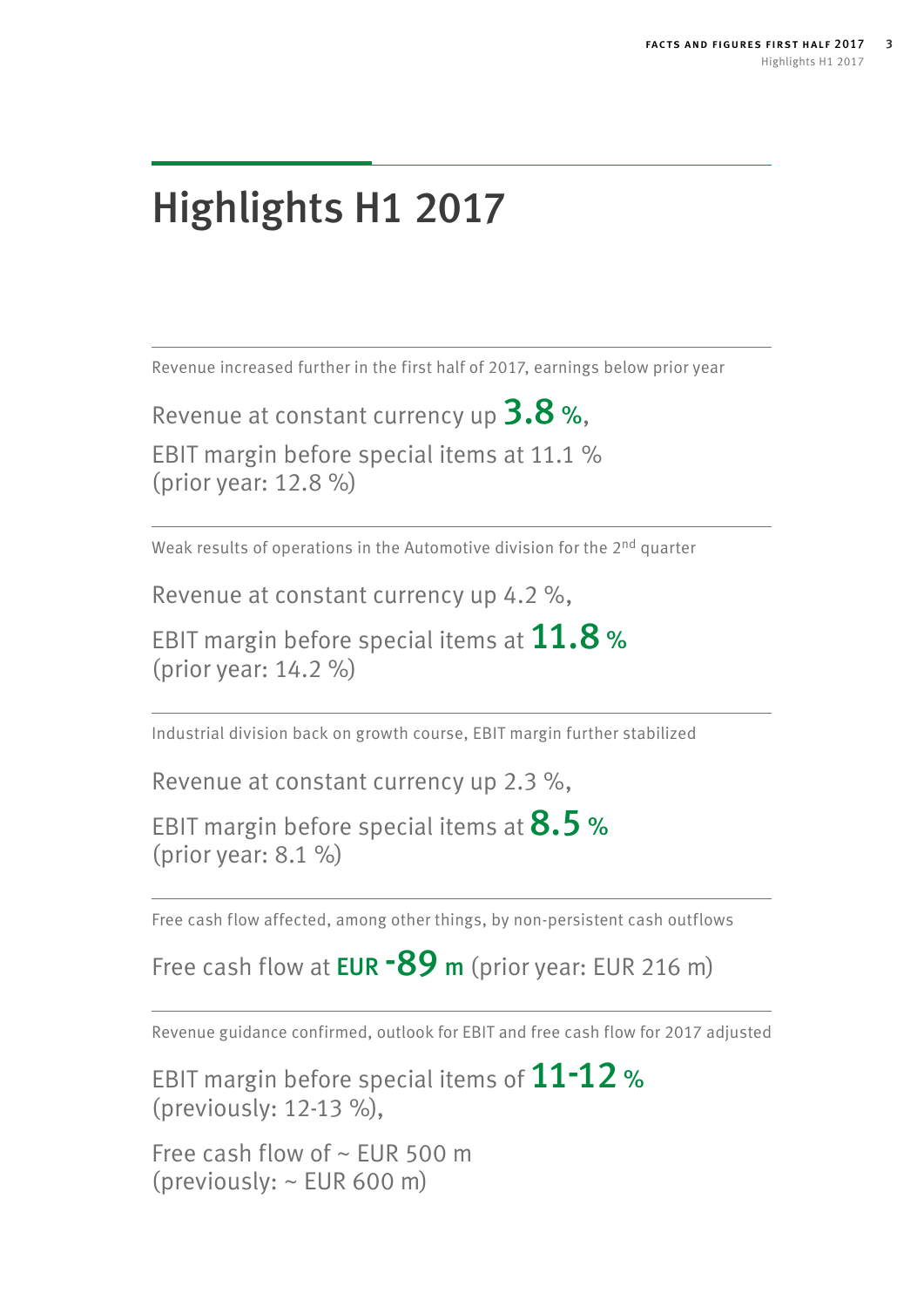# <span id="page-2-0"></span>Highlights H1 2017

Revenue increased further in the first half of 2017, earnings below prior year

Revenue at constant currency up 3.8%,

EBIT margin before special items at 11.1 % (prior year: 12.8 %)

Weak results of operations in the Automotive division for the 2<sup>nd</sup> quarter

Revenue at constant currency up 4.2 %,

EBIT margin before special items at  $11.8$  % (prior year: 14.2 %)

Industrial division back on growth course, EBIT margin further stabilized

Revenue at constant currency up 2.3 %,

EBIT margin before special items at  $8.5$  % (prior year: 8.1 %)

Free cash flow affected, among other things, by non-persistent cash outflows

Free cash flow at **EUR -89** m (prior year: EUR 216 m)

Revenue guidance confirmed, outlook for EBIT and free cash flow for 2017 adjusted

EBIT margin before special items of 11-12 % (previously: 12-13 %),

Free cash flow of  $\sim$  EUR 500 m (previously: ~ EUR 600 m)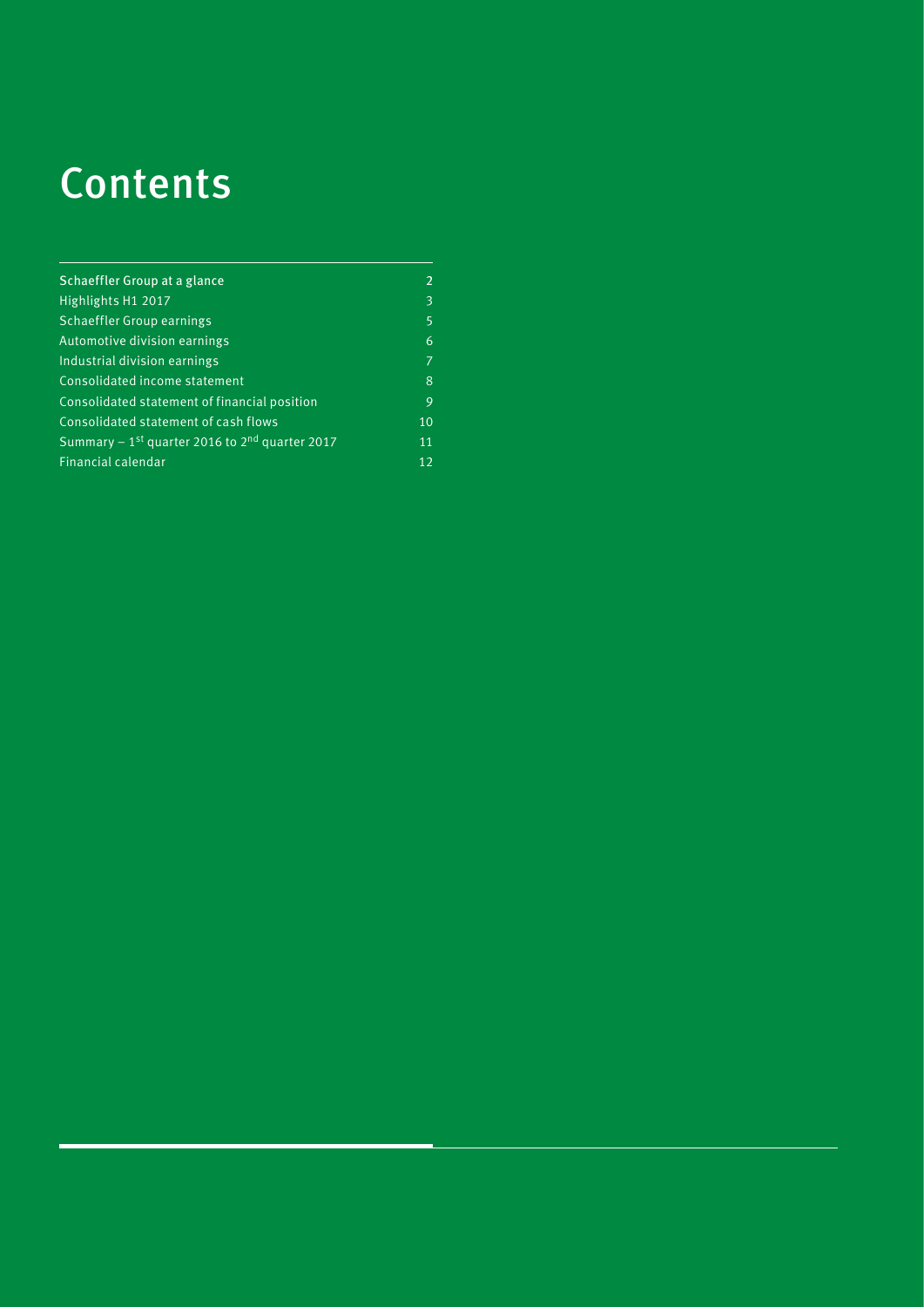# **Contents**

| Schaeffler Group at a glance                       | 2  |
|----------------------------------------------------|----|
| Highlights H1 2017                                 | 3  |
| <b>Schaeffler Group earnings</b>                   | 5  |
| Automotive division earnings                       | 6  |
| Industrial division earnings                       | 7  |
| Consolidated income statement                      | 8  |
| Consolidated statement of financial position       | 9  |
| Consolidated statement of cash flows               | 10 |
| Summary – $1st$ quarter 2016 to $2nd$ quarter 2017 | 11 |
| Financial calendar                                 | 12 |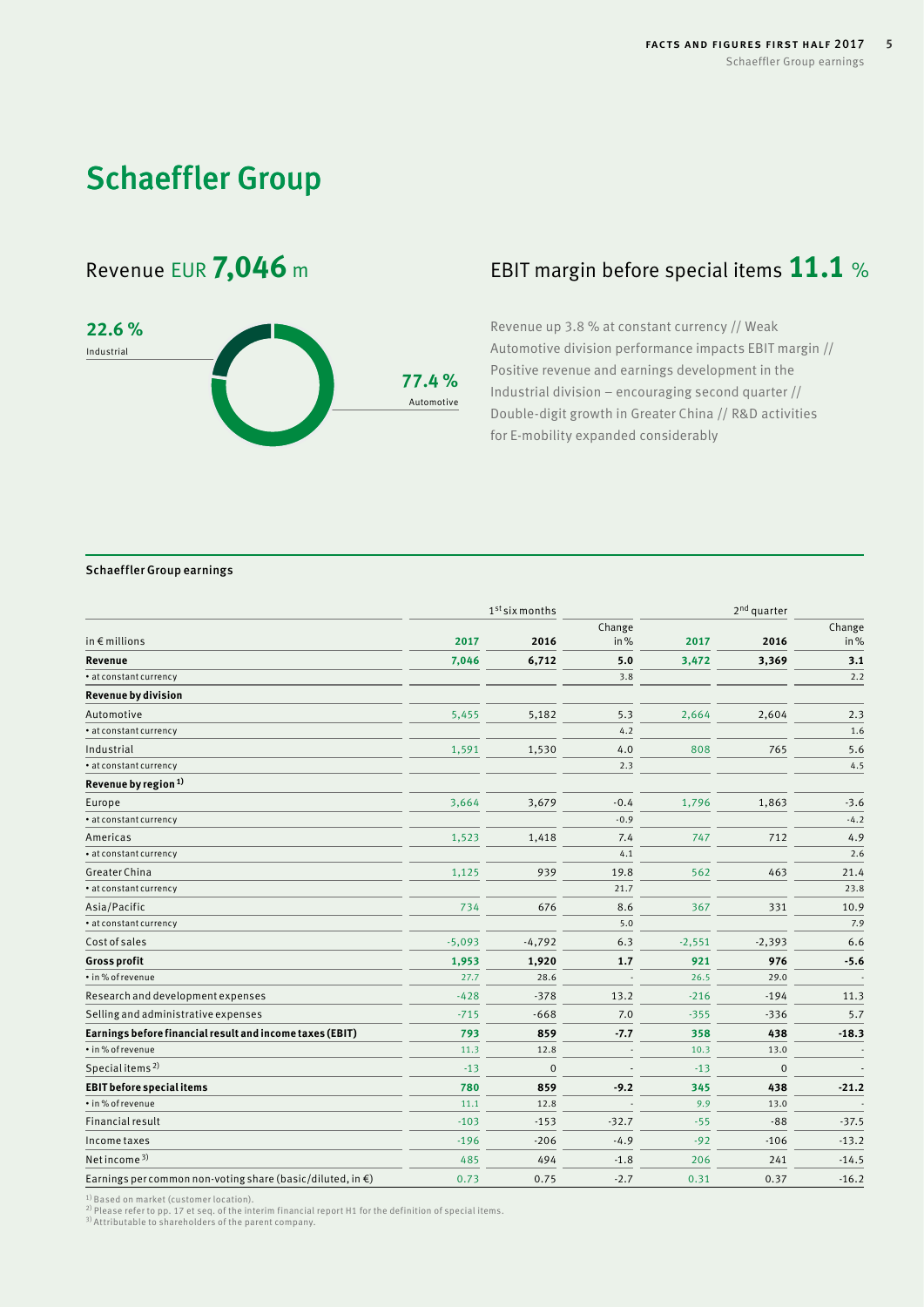## <span id="page-4-0"></span>Schaeffler Group



## Revenue EUR 7,046 m EBIT margin before special items 11.1 %

Revenue up 3.8 % at constant currency // Weak Automotive division performance impacts EBIT margin // Positive revenue and earnings development in the Industrial division – encouraging second quarter // Double-digit growth in Greater China // R&D activities for E-mobility expanded considerably

### Schaeffler Group earnings

|                                                                      | 1 <sup>st</sup> six months |              |         | 2 <sup>nd</sup> quarter |              |         |  |
|----------------------------------------------------------------------|----------------------------|--------------|---------|-------------------------|--------------|---------|--|
|                                                                      |                            |              | Change  |                         |              | Change  |  |
| in $\epsilon$ millions                                               | 2017                       | 2016         | in %    | 2017                    | 2016         | in %    |  |
| Revenue                                                              | 7,046                      | 6,712        | 5.0     | 3,472                   | 3,369        | 3.1     |  |
| • at constant currency                                               |                            |              | 3.8     |                         |              | 2.2     |  |
| <b>Revenue by division</b>                                           |                            |              |         |                         |              |         |  |
| Automotive                                                           | 5,455                      | 5,182        | 5.3     | 2,664                   | 2,604        | 2.3     |  |
| • at constant currency                                               |                            |              | 4.2     |                         |              | 1.6     |  |
| Industrial                                                           | 1,591                      | 1,530        | 4.0     | 808                     | 765          | 5.6     |  |
| • at constant currency                                               |                            |              | 2.3     |                         |              | 4.5     |  |
| Revenue by region <sup>1)</sup>                                      |                            |              |         |                         |              |         |  |
| Europe                                                               | 3,664                      | 3,679        | $-0.4$  | 1,796                   | 1,863        | $-3.6$  |  |
| • at constant currency                                               |                            |              | $-0.9$  |                         |              | $-4.2$  |  |
| Americas                                                             | 1,523                      | 1,418        | 7.4     | 747                     | 712          | 4.9     |  |
| • at constant currency                                               |                            |              | 4.1     |                         |              | 2.6     |  |
| Greater China                                                        | 1,125                      | 939          | 19.8    | 562                     | 463          | 21.4    |  |
| • at constant currency                                               |                            |              | 21.7    |                         |              | 23.8    |  |
| Asia/Pacific                                                         | 734                        | 676          | 8.6     | 367                     | 331          | 10.9    |  |
| • at constant currency                                               |                            |              | 5.0     |                         |              | 7.9     |  |
| Cost of sales                                                        | $-5,093$                   | $-4,792$     | 6.3     | $-2,551$                | $-2,393$     | 6.6     |  |
| <b>Gross profit</b>                                                  | 1,953                      | 1,920        | 1.7     | 921                     | 976          | $-5.6$  |  |
| • in % of revenue                                                    | 27.7                       | 28.6         |         | 26.5                    | 29.0         |         |  |
| Research and development expenses                                    | $-428$                     | $-378$       | 13.2    | $-216$                  | $-194$       | 11.3    |  |
| Selling and administrative expenses                                  | $-715$                     | $-668$       | 7.0     | $-355$                  | $-336$       | 5.7     |  |
| Earnings before financial result and income taxes (EBIT)             | 793                        | 859          | $-7.7$  | 358                     | 438          | $-18.3$ |  |
| · in % of revenue                                                    | 11.3                       | 12.8         |         | 10.3                    | 13.0         |         |  |
| Special items <sup>2)</sup>                                          | $-13$                      | $\mathbf{0}$ |         | $-13$                   | $\mathbf{0}$ |         |  |
| <b>EBIT before special items</b>                                     | 780                        | 859          | $-9.2$  | 345                     | 438          | $-21.2$ |  |
| • in % of revenue                                                    | 11.1                       | 12.8         |         | 9.9                     | 13.0         |         |  |
| Financial result                                                     | $-103$                     | $-153$       | $-32.7$ | $-55$                   | $-88$        | $-37.5$ |  |
| <b>Income taxes</b>                                                  | $-196$                     | $-206$       | $-4.9$  | $-92$                   | $-106$       | $-13.2$ |  |
| Net income $3$ )                                                     | 485                        | 494          | $-1.8$  | 206                     | 241          | $-14.5$ |  |
| Earnings per common non-voting share (basic/diluted, in $\epsilon$ ) | 0.73                       | 0.75         | $-2.7$  | 0.31                    | 0.37         | $-16.2$ |  |

<sup>1)</sup> Based on market (customer location).

<sup>2)</sup> Please refer to pp. 17 et seq. of the interim financial report H1 for the definition of special items.<br><sup>3)</sup> Attributable to shareholders of the parent company.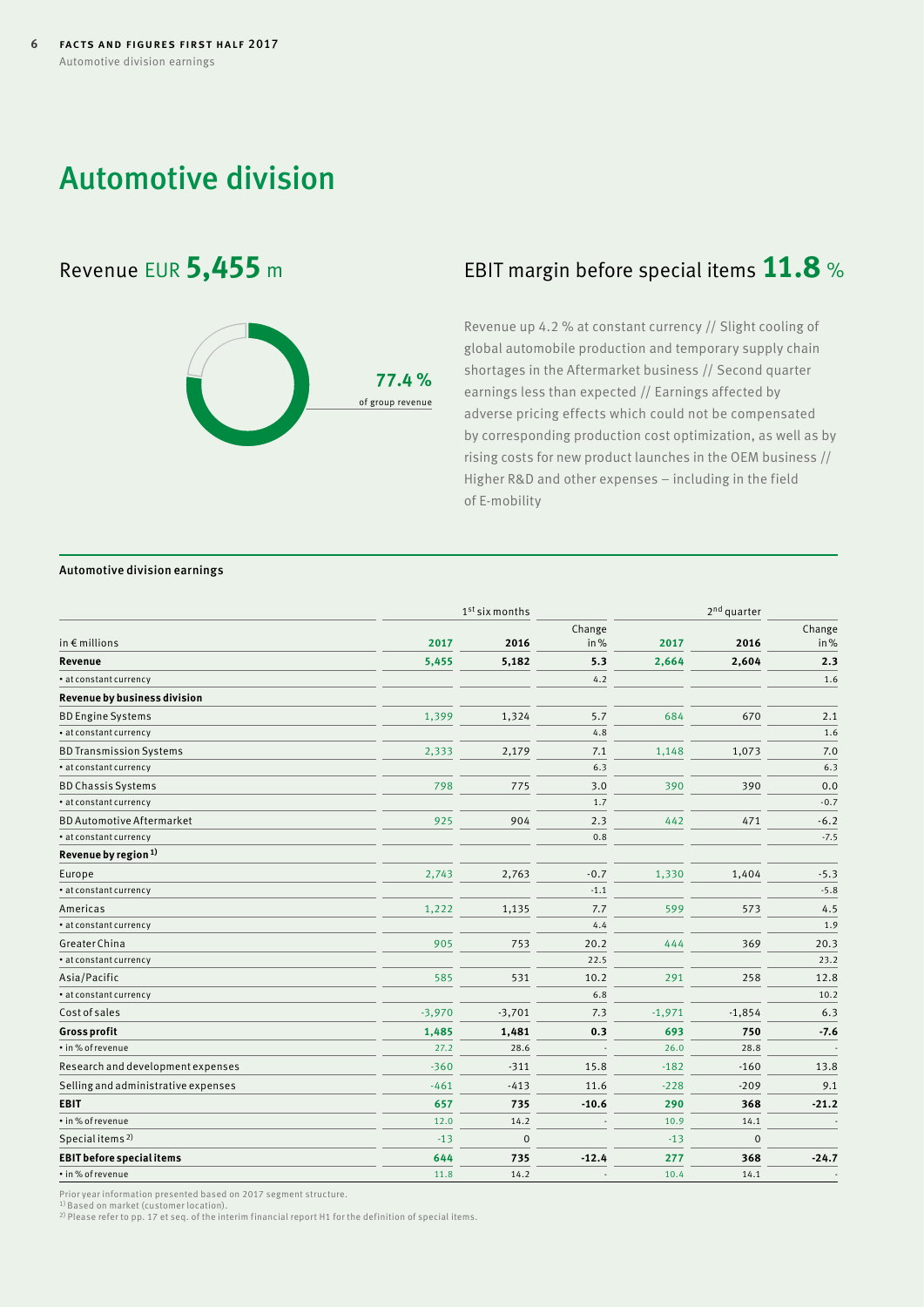## <span id="page-5-0"></span>Automotive division



## Revenue EUR **5,455** <sup>m</sup> EBIT margin before special items **11.8** %

Revenue up 4.2 % at constant currency // Slight cooling of global automobile production and temporary supply chain shortages in the Aftermarket business // Second quarter earnings less than expected // Earnings affected by adverse pricing effects which could not be compensated by corresponding production cost optimization, as well as by rising costs for new product launches in the OEM business // Higher R&D and other expenses – including in the field of E-mobility

### Automotive division earnings

|                                     |          | $1st$ six months |         |          | 2 <sup>nd</sup> quarter |                          |  |  |
|-------------------------------------|----------|------------------|---------|----------|-------------------------|--------------------------|--|--|
|                                     |          |                  | Change  |          |                         | Change                   |  |  |
| in $\epsilon$ millions              | 2017     | 2016             | in %    | 2017     | 2016                    | in $%$                   |  |  |
| Revenue                             | 5,455    | 5,182            | 5.3     | 2,664    | 2,604                   | 2.3                      |  |  |
| · at constant currency              |          |                  | 4.2     |          |                         | 1.6                      |  |  |
| Revenue by business division        |          |                  |         |          |                         |                          |  |  |
| <b>BD Engine Systems</b>            | 1,399    | 1,324            | 5.7     | 684      | 670                     | 2.1                      |  |  |
| · at constant currency              |          |                  | 4.8     |          |                         | 1.6                      |  |  |
| <b>BD Transmission Systems</b>      | 2,333    | 2,179            | 7.1     | 1,148    | 1,073                   | 7.0                      |  |  |
| • at constant currency              |          |                  | 6.3     |          |                         | 6.3                      |  |  |
| <b>BD Chassis Systems</b>           | 798      | 775              | 3.0     | 390      | 390                     | 0.0                      |  |  |
| • at constant currency              |          |                  | 1.7     |          |                         | $-0.7$                   |  |  |
| <b>BD Automotive Aftermarket</b>    | 925      | 904              | 2.3     | 442      | 471                     | $-6.2$                   |  |  |
| · at constant currency              |          |                  | 0.8     |          |                         | $-7.5$                   |  |  |
| Revenue by region <sup>1)</sup>     |          |                  |         |          |                         |                          |  |  |
| Europe                              | 2,743    | 2,763            | $-0.7$  | 1,330    | 1,404                   | $-5.3$                   |  |  |
| · at constant currency              |          |                  | $-1.1$  |          |                         | $-5.8$                   |  |  |
| Americas                            | 1,222    | 1,135            | 7.7     | 599      | 573                     | 4.5                      |  |  |
| · at constant currency              |          |                  | 4.4     |          |                         | 1.9                      |  |  |
| Greater China                       | 905      | 753              | 20.2    | 444      | 369                     | 20.3                     |  |  |
| · at constant currency              |          |                  | 22.5    |          |                         | 23.2                     |  |  |
| Asia/Pacific                        | 585      | 531              | 10.2    | 291      | 258                     | 12.8                     |  |  |
| · at constant currency              |          |                  | 6.8     |          |                         | 10.2                     |  |  |
| Cost of sales                       | $-3,970$ | $-3,701$         | 7.3     | $-1,971$ | $-1,854$                | 6.3                      |  |  |
| <b>Gross profit</b>                 | 1,485    | 1,481            | 0.3     | 693      | 750                     | $-7.6$                   |  |  |
| • in % of revenue                   | 27.2     | 28.6             |         | 26.0     | 28.8                    |                          |  |  |
| Research and development expenses   | $-360$   | $-311$           | 15.8    | $-182$   | $-160$                  | 13.8                     |  |  |
| Selling and administrative expenses | $-461$   | $-413$           | 11.6    | $-228$   | $-209$                  | 9.1                      |  |  |
| EBIT                                | 657      | 735              | $-10.6$ | 290      | 368                     | $-21.2$                  |  |  |
| • in % of revenue                   | 12.0     | 14.2             |         | 10.9     | 14.1                    |                          |  |  |
| Special items <sup>2)</sup>         | $-13$    | $\mathbf 0$      |         | $-13$    | $\mathbf{0}$            |                          |  |  |
| <b>EBIT before special items</b>    | 644      | 735              | $-12.4$ | 277      | 368                     | $-24.7$                  |  |  |
| • in % of revenue                   | 11.8     | 14.2             |         | 10.4     | 14.1                    | $\overline{\phantom{a}}$ |  |  |

Prior year information presented based on 2017 segment structure.

1) Based on market (customer location)

2) Please refer to pp. 17 et seq. of the interim financial report H1 for the definition of special items.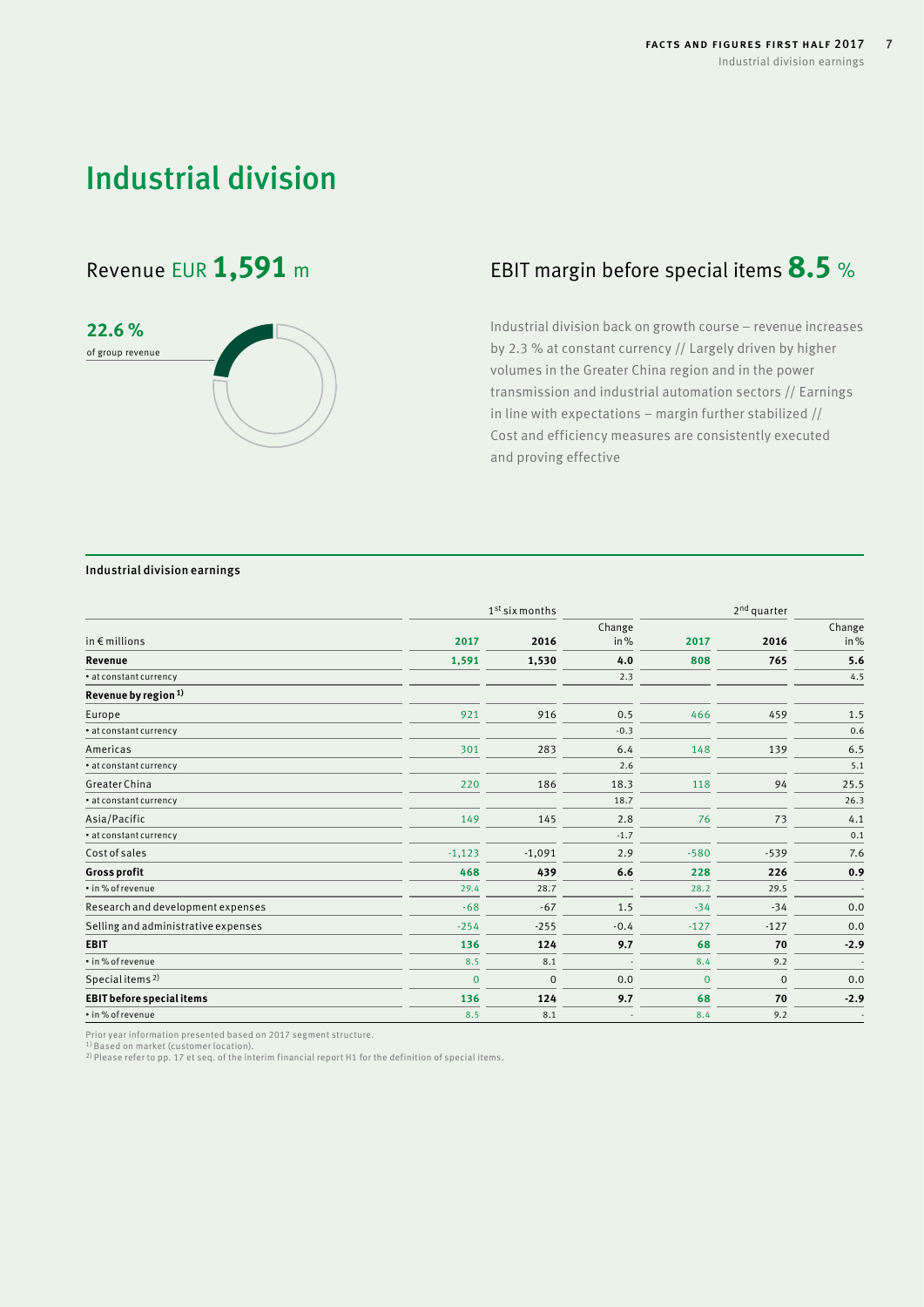## <span id="page-6-0"></span>Industrial division

# **22.6 %** of group revenue

## Revenue EUR 1,591 m EBIT margin before special items 8.5 %

Industrial division back on growth course – revenue increases by 2.3 % at constant currency // Largely driven by higher volumes in the Greater China region and in the power transmission and industrial automation sectors // Earnings in line with expectations – margin further stabilized // Cost and efficiency measures are consistently executed and proving effective

### Industrial division earnings

|                                     | 1 <sup>st</sup> six months |              |                | 2 <sup>nd</sup> quarter |              |                |  |
|-------------------------------------|----------------------------|--------------|----------------|-------------------------|--------------|----------------|--|
| in $\epsilon$ millions              | 2017                       | 2016         | Change<br>in % | 2017                    | 2016         | Change<br>in % |  |
| Revenue                             | 1,591                      | 1,530        | 4.0            | 808                     | 765          | 5.6            |  |
| • at constant currency              |                            |              | 2.3            |                         |              | 4.5            |  |
| Revenue by region <sup>1)</sup>     |                            |              |                |                         |              |                |  |
| Europe                              | 921                        | 916          | 0.5            | 466                     | 459          | 1.5            |  |
| • at constant currency              |                            |              | $-0.3$         |                         |              | 0.6            |  |
| Americas                            | 301                        | 283          | 6.4            | 148                     | 139          | 6.5            |  |
| • at constant currency              |                            |              | 2.6            |                         |              | 5.1            |  |
| Greater China                       | 220                        | 186          | 18.3           | 118                     | 94           | 25.5           |  |
| • at constant currency              |                            |              | 18.7           |                         |              | 26.3           |  |
| Asia/Pacific                        | 149                        | 145          | 2.8            | 76                      | 73           | 4.1            |  |
| • at constant currency              |                            |              | $-1.7$         |                         |              | 0.1            |  |
| Cost of sales                       | $-1,123$                   | $-1,091$     | 2.9            | $-580$                  | $-539$       | 7.6            |  |
| <b>Gross profit</b>                 | 468                        | 439          | 6.6            | 228                     | 226          | 0.9            |  |
| • in % of revenue                   | 29.4                       | 28.7         |                | 28.2                    | 29.5         |                |  |
| Research and development expenses   | $-68$                      | $-67$        | 1.5            | $-34$                   | $-34$        | 0.0            |  |
| Selling and administrative expenses | $-254$                     | $-255$       | $-0.4$         | $-127$                  | $-127$       | 0.0            |  |
| <b>EBIT</b>                         | 136                        | 124          | 9.7            | 68                      | 70           | $-2.9$         |  |
| • in % of revenue                   | 8.5                        | 8.1          |                | 8.4                     | 9.2          |                |  |
| Special items <sup>2)</sup>         | $\mathbf{0}$               | $\mathbf{0}$ | 0.0            | $\mathbf 0$             | $\mathbf{0}$ | 0.0            |  |
| <b>EBIT before special items</b>    | 136                        | 124          | 9.7            | 68                      | 70           | $-2.9$         |  |
| • in % of revenue                   | 8.5                        | 8.1          |                | 8.4                     | 9.2          |                |  |

Prior year information presented based on 2017 segment structure. 1) Based on market (customer location).

2) Please refer to pp. 17 et seq. of the interim financial report H1 for the definition of special items.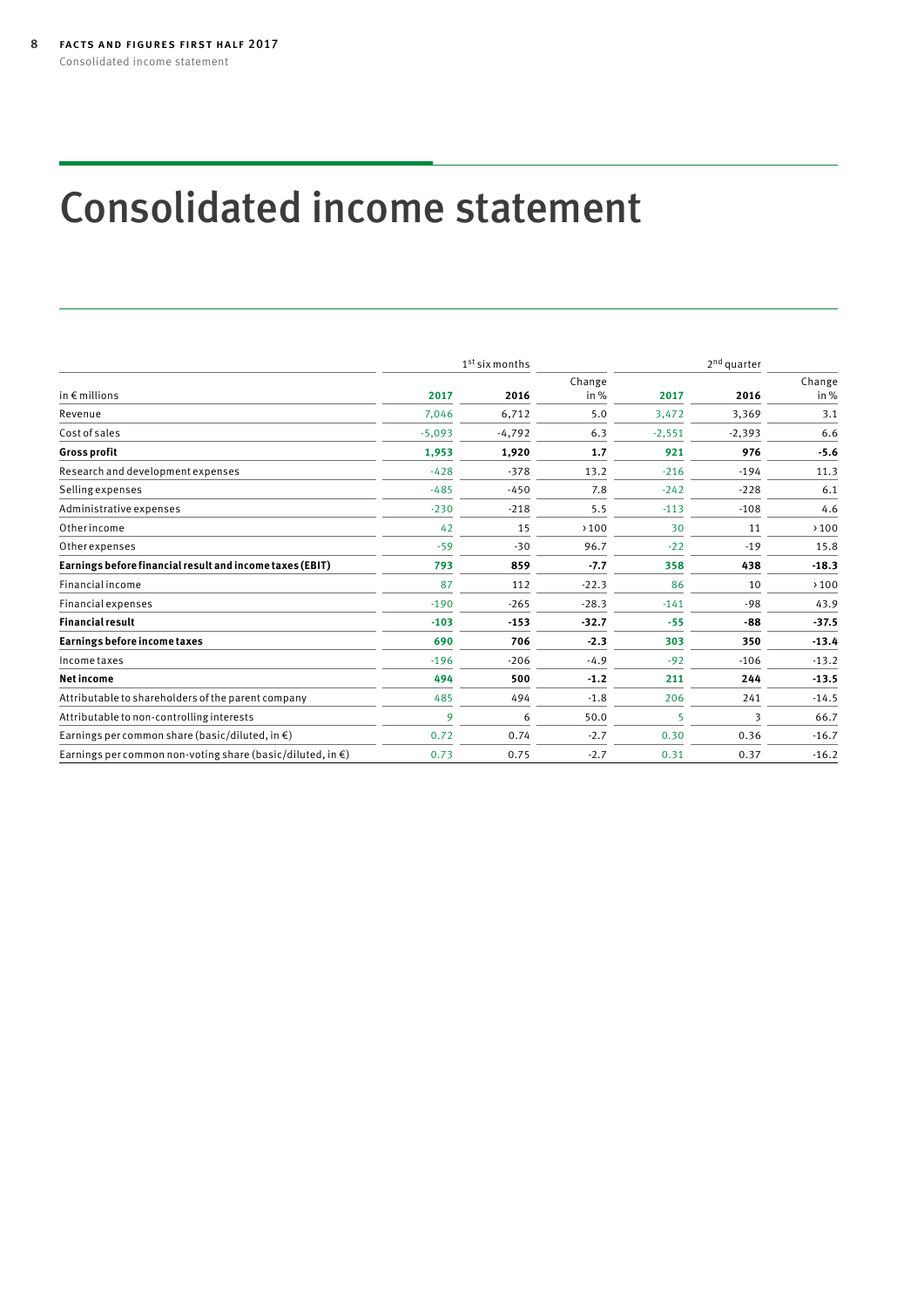# <span id="page-7-0"></span>Consolidated income statement

|                                                                      | $1st$ six months |          |                | $2nd$ quarter |          |               |  |
|----------------------------------------------------------------------|------------------|----------|----------------|---------------|----------|---------------|--|
| in $\epsilon$ millions                                               | 2017             | 2016     | Change<br>in % | 2017          | 2016     | Change<br>in% |  |
| Revenue                                                              | 7,046            | 6,712    | 5.0            | 3,472         | 3,369    | 3.1           |  |
| <b>Cost of sales</b>                                                 | $-5,093$         | $-4,792$ | 6.3            | $-2,551$      | $-2,393$ | 6.6           |  |
| <b>Gross profit</b>                                                  | 1,953            | 1,920    | 1.7            | 921           | 976      | $-5.6$        |  |
| Research and development expenses                                    | $-428$           | $-378$   | 13.2           | $-216$        | $-194$   | 11.3          |  |
| Selling expenses                                                     | $-485$           | $-450$   | 7.8            | $-242$        | $-228$   | 6.1           |  |
| Administrative expenses                                              | $-230$           | $-218$   | 5.5            | $-113$        | $-108$   | 4.6           |  |
| Other income                                                         | 42               | 15       | >100           | 30            | 11       | >100          |  |
| Otherexpenses                                                        | $-59$            | $-30$    | 96.7           | $-22$         | $-19$    | 15.8          |  |
| Earnings before financial result and income taxes (EBIT)             | 793              | 859      | $-7.7$         | 358           | 438      | $-18.3$       |  |
| <b>Financial income</b>                                              | 87               | 112      | $-22.3$        | 86            | 10       | >100          |  |
| <b>Financial expenses</b>                                            | $-190$           | $-265$   | $-28.3$        | $-141$        | $-98$    | 43.9          |  |
| <b>Financial result</b>                                              | $-103$           | $-153$   | $-32.7$        | $-55$         | -88      | $-37.5$       |  |
| Earnings before income taxes                                         | 690              | 706      | $-2.3$         | 303           | 350      | $-13.4$       |  |
| Income taxes                                                         | $-196$           | $-206$   | $-4.9$         | $-92$         | $-106$   | $-13.2$       |  |
| Net income                                                           | 494              | 500      | $-1.2$         | 211           | 244      | $-13.5$       |  |
| Attributable to shareholders of the parent company                   | 485              | 494      | $-1.8$         | 206           | 241      | $-14.5$       |  |
| Attributable to non-controlling interests                            | 9                | 6        | 50.0           | 5             | 3        | 66.7          |  |
| Earnings per common share (basic/diluted, in $\epsilon$ )            | 0.72             | 0.74     | $-2.7$         | 0.30          | 0.36     | $-16.7$       |  |
| Earnings per common non-voting share (basic/diluted, in $\epsilon$ ) | 0.73             | 0.75     | $-2.7$         | 0.31          | 0.37     | $-16.2$       |  |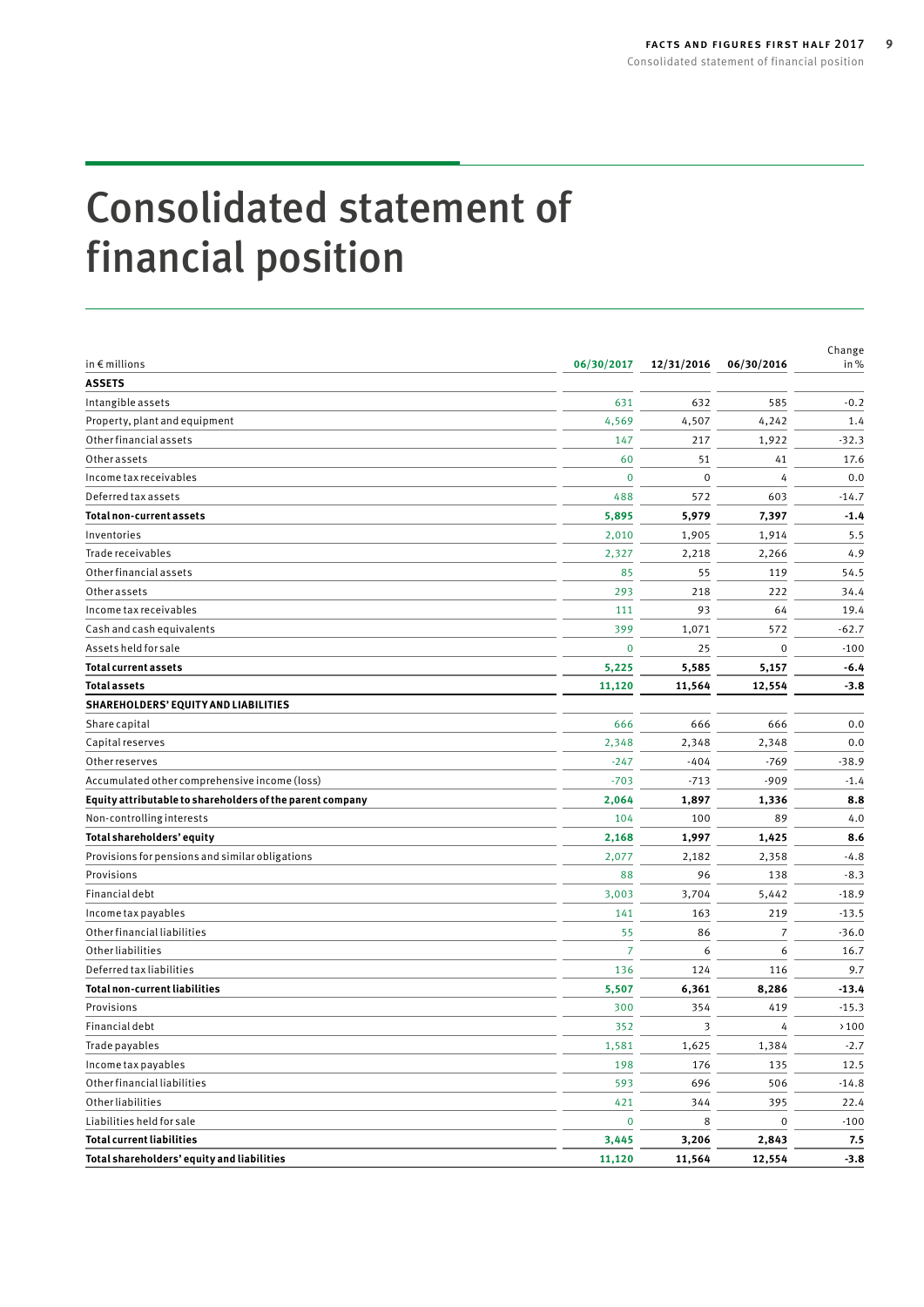# <span id="page-8-0"></span>Consolidated statement of financial position

| in $\epsilon$ millions                                    | 06/30/2017     | 12/31/2016  | 06/30/2016     | Change<br>in% |
|-----------------------------------------------------------|----------------|-------------|----------------|---------------|
| <b>ASSETS</b>                                             |                |             |                |               |
| Intangible assets                                         | 631            | 632         | 585            | $-0.2$        |
| Property, plant and equipment                             | 4,569          | 4,507       | 4,242          | 1.4           |
| Other financial assets                                    | 147            | 217         | 1,922          | $-32.3$       |
| Otherassets                                               | 60             | 51          | 41             | 17.6          |
| Income tax receivables                                    | $\mathbf 0$    | $\mathbf 0$ | 4              | 0.0           |
| Deferred tax assets                                       | 488            | 572         | 603            | $-14.7$       |
| Total non-current assets                                  | 5,895          | 5,979       | 7,397          | $-1.4$        |
| Inventories                                               | 2,010          | 1,905       | 1,914          | 5.5           |
| Trade receivables                                         | 2,327          | 2,218       | 2,266          | 4.9           |
| Other financial assets                                    | 85             | 55          | 119            | 54.5          |
| Otherassets                                               | 293            | 218         | 222            | 34.4          |
| Income tax receivables                                    | 111            | 93          | 64             | 19.4          |
| Cash and cash equivalents                                 | 399            | 1,071       | 572            | $-62.7$       |
| Assets held for sale                                      | $\mathbf 0$    | 25          | $\mathbf 0$    | $-100$        |
| <b>Total current assets</b>                               | 5,225          | 5,585       | 5,157          | $-6.4$        |
| <b>Total assets</b>                                       | 11,120         | 11,564      | 12,554         | $-3.8$        |
| SHAREHOLDERS' EQUITY AND LIABILITIES                      |                |             |                |               |
| Share capital                                             | 666            | 666         | 666            | 0.0           |
| Capital reserves                                          | 2,348          | 2,348       | 2,348          | 0.0           |
| <b>Other reserves</b>                                     | $-247$         | $-404$      | $-769$         | $-38.9$       |
| Accumulated other comprehensive income (loss)             | $-703$         | $-713$      | $-909$         | $-1.4$        |
| Equity attributable to shareholders of the parent company | 2,064          | 1,897       | 1,336          | 8.8           |
| Non-controlling interests                                 | 104            | 100         | 89             | 4.0           |
| Total shareholders' equity                                | 2,168          | 1,997       | 1,425          | 8.6           |
| Provisions for pensions and similar obligations           | 2,077          | 2,182       | 2,358          | $-4.8$        |
| Provisions                                                | 88             | 96          | 138            | $-8.3$        |
| Financial debt                                            | 3,003          | 3,704       | 5,442          | $-18.9$       |
| Income tax payables                                       | 141            | 163         | 219            | $-13.5$       |
| Other financial liabilities                               | 55             | 86          | $\overline{7}$ | $-36.0$       |
| <b>Other liabilities</b>                                  | $\overline{7}$ | 6           | 6              | 16.7          |
| Deferred tax liabilities                                  | 136            | 124         | 116            | 9.7           |
| <b>Total non-current liabilities</b>                      | 5,507          | 6,361       | 8,286          | $-13.4$       |
| Provisions                                                | 300            | 354         | 419            | $-15.3$       |
| Financial debt                                            | 352            | 3           | 4              | >100          |
| Trade payables                                            | 1,581          | 1,625       | 1,384          | $-2.7$        |
| Income tax payables                                       | 198            | 176         | 135            | 12.5          |
| Other financial liabilities                               | 593            | 696         | 506            | $-14.8$       |
| <b>Otherliabilities</b>                                   | 421            | 344         | 395            | 22.4          |
| Liabilities held for sale                                 | $\mathbf 0$    | 8           | $\pmb{0}$      | $-100$        |
| <b>Total current liabilities</b>                          | 3,445          | 3,206       | 2,843          | 7.5           |
| Total shareholders' equity and liabilities                | 11,120         | 11,564      | 12,554         | $-3.8$        |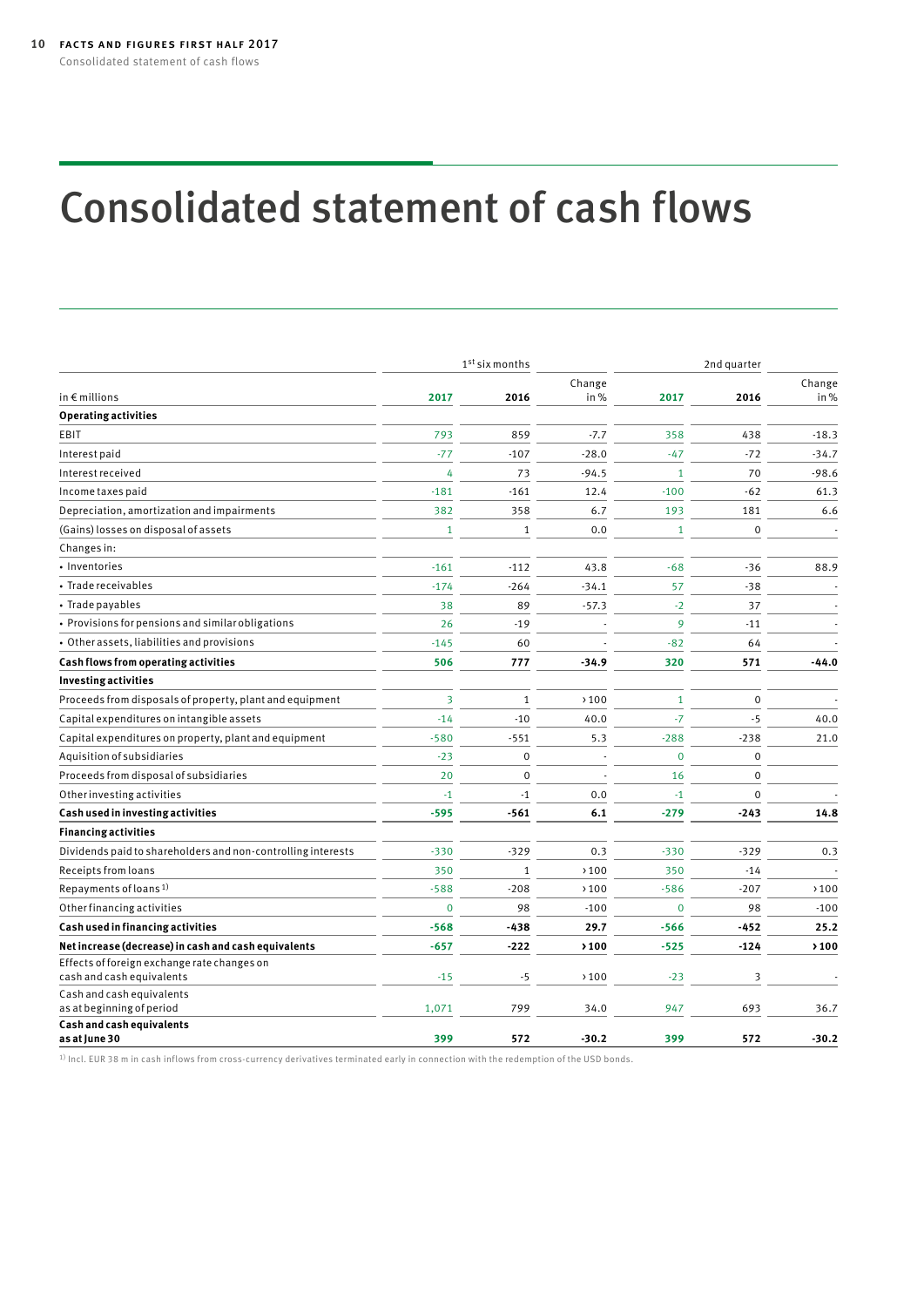# <span id="page-9-0"></span>Consolidated statement of cash flows

|                                                              |                | $1st$ six months | 2nd quarter |              |             |         |  |
|--------------------------------------------------------------|----------------|------------------|-------------|--------------|-------------|---------|--|
|                                                              |                |                  | Change      |              |             | Change  |  |
| in $\epsilon$ millions                                       | 2017           | 2016             | in%         | 2017         | 2016        | in%     |  |
| <b>Operating activities</b>                                  |                |                  |             |              |             |         |  |
| EBIT                                                         | 793            | 859              | $-7.7$      | 358          | 438         | $-18.3$ |  |
| Interest paid                                                | $-77$          | $-107$           | $-28.0$     | $-47$        | $-72$       | $-34.7$ |  |
| Interest received                                            | 4              | 73               | $-94.5$     | $\mathbf{1}$ | 70          | $-98.6$ |  |
| Income taxes paid                                            | $-181$         | $-161$           | 12.4        | $-100$       | $-62$       | 61.3    |  |
| Depreciation, amortization and impairments                   | 382            | 358              | 6.7         | 193          | 181         | 6.6     |  |
| (Gains) losses on disposal of assets                         | $\mathbf{1}$   | 1                | 0.0         | $\mathbf{1}$ | $\mathbf 0$ |         |  |
| Changes in:                                                  |                |                  |             |              |             |         |  |
| · Inventories                                                | $-161$         | $-112$           | 43.8        | $-68$        | $-36$       | 88.9    |  |
| • Trade receivables                                          | $-174$         | $-264$           | $-34.1$     | 57           | $-38$       |         |  |
| • Trade payables                                             | 38             | 89               | $-57.3$     | $-2$         | 37          |         |  |
| • Provisions for pensions and similar obligations            | 26             | $-19$            |             | 9            | $-11$       |         |  |
| • Other assets, liabilities and provisions                   | $-145$         | 60               |             | $-82$        | 64          |         |  |
| Cash flows from operating activities                         | 506            | 777              | $-34.9$     | 320          | 571         | $-44.0$ |  |
| <b>Investing activities</b>                                  |                |                  |             |              |             |         |  |
| Proceeds from disposals of property, plant and equipment     | 3              | $\mathbf{1}$     | >100        | $\mathbf{1}$ | $\mathbf 0$ |         |  |
| Capital expenditures on intangible assets                    | $-14$          | $-10$            | 40.0        | $-7$         | $-5$        | 40.0    |  |
| Capital expenditures on property, plant and equipment        | $-580$         | $-551$           | 5.3         | $-288$       | $-238$      | 21.0    |  |
| Aquisition of subsidiaries                                   | $-23$          | $\mathbf 0$      |             | $\mathbf 0$  | $\mathbf 0$ |         |  |
| Proceeds from disposal of subsidiaries                       | 20             | $\Omega$         |             | 16           | $\Omega$    |         |  |
| Other investing activities                                   | $-1$           | $-1$             | 0.0         | $-1$         | $\Omega$    |         |  |
| Cash used in investing activities                            | -595           | $-561$           | 6.1         | $-279$       | $-243$      | 14.8    |  |
| <b>Financing activities</b>                                  |                |                  |             |              |             |         |  |
| Dividends paid to shareholders and non-controlling interests | $-330$         | $-329$           | 0.3         | $-330$       | $-329$      | 0.3     |  |
| Receipts from loans                                          | 350            | $\mathbf{1}$     | >100        | 350          | $-14$       |         |  |
| Repayments of loans <sup>1)</sup>                            | $-588$         | $-208$           | >100        | $-586$       | $-207$      | >100    |  |
| Other financing activities                                   | $\overline{0}$ | 98               | $-100$      | $\mathbf{0}$ | 98          | $-100$  |  |
| Cash used in financing activities                            | $-568$         | $-438$           | 29.7        | $-566$       | $-452$      | 25.2    |  |
| Net increase (decrease) in cash and cash equivalents         | $-657$         | $-222$           | >100        | $-525$       | $-124$      | >100    |  |
| Effects of foreign exchange rate changes on                  |                |                  |             |              |             |         |  |
| cash and cash equivalents                                    | $-15$          | -5               | >100        | $-23$        | 3           |         |  |
| Cash and cash equivalents                                    |                |                  |             |              |             |         |  |
| as at beginning of period                                    | 1,071          | 799              | 34.0        | 947          | 693         | 36.7    |  |
| Cash and cash equivalents<br>as at June 30                   | 399            | 572              | $-30.2$     | 399          | 572         | $-30.2$ |  |

 $1)$  Incl. EUR 38 m in cash inflows from cross-currency derivatives terminated early in connection with the redemption of the USD bonds.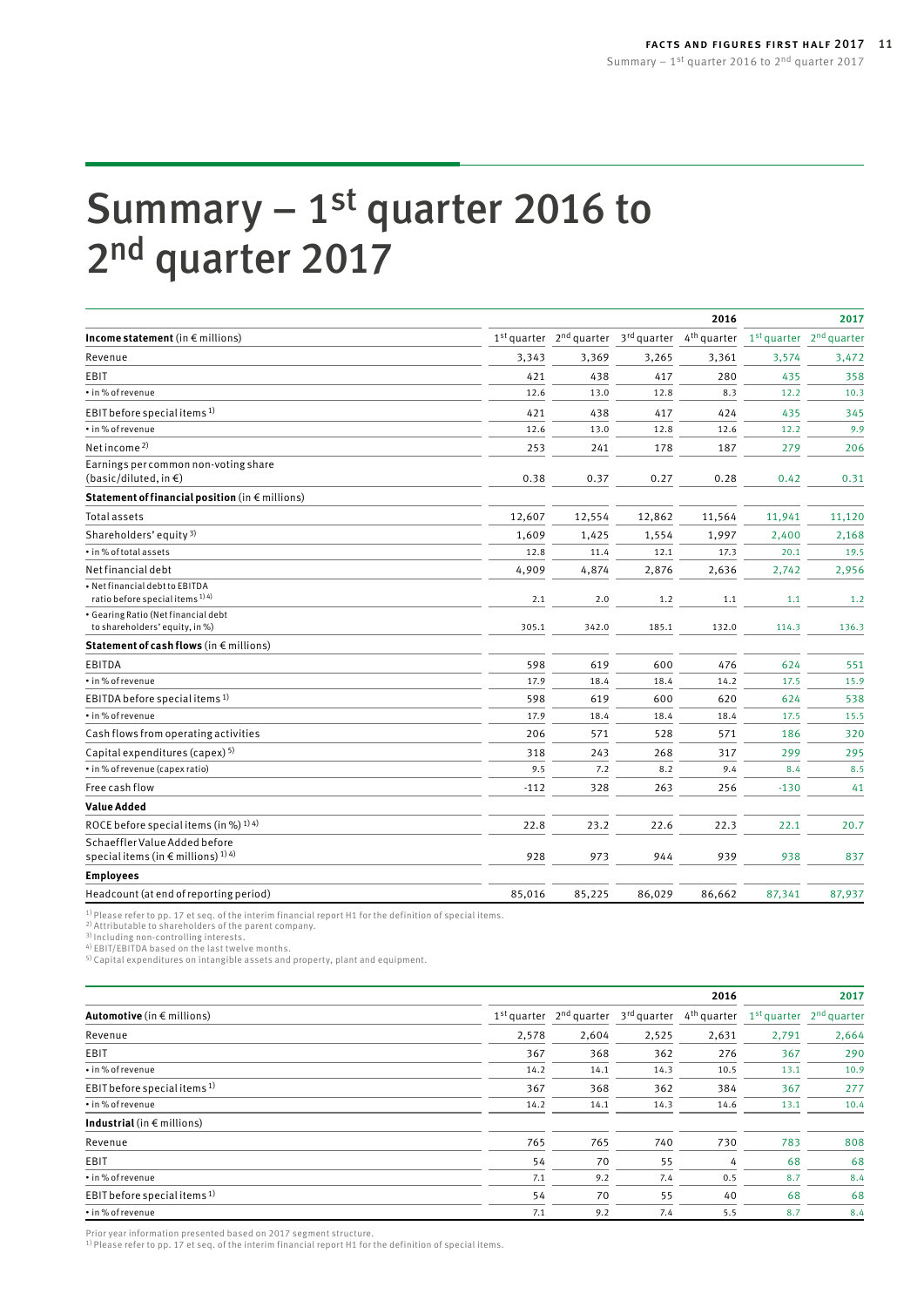# <span id="page-10-0"></span>Summary  $-1$ <sup>st</sup> quarter 2016 to 2<sup>nd</sup> quarter 2017

|                                                                                          |        |                                           |        | 2016                    |                                                 | 2017   |
|------------------------------------------------------------------------------------------|--------|-------------------------------------------|--------|-------------------------|-------------------------------------------------|--------|
| Income statement (in $\epsilon$ millions)                                                |        | $1st$ quarter $2nd$ quarter $3rd$ quarter |        | 4 <sup>th</sup> quarter | 1 <sup>st</sup> quarter 2 <sup>nd</sup> quarter |        |
| Revenue                                                                                  | 3,343  | 3,369                                     | 3,265  | 3,361                   | 3,574                                           | 3,472  |
| EBIT                                                                                     | 421    | 438                                       | 417    | 280                     | 435                                             | 358    |
| · in % of revenue                                                                        | 12.6   | 13.0                                      | 12.8   | 8.3                     | 12.2                                            | 10.3   |
| EBIT before special items <sup>1)</sup>                                                  | 421    | 438                                       | 417    | 424                     | 435                                             | 345    |
| • in % of revenue                                                                        | 12.6   | 13.0                                      | 12.8   | 12.6                    | 12.2                                            | 9.9    |
| Net income <sup>2)</sup>                                                                 | 253    | 241                                       | 178    | 187                     | 279                                             | 206    |
| Earnings per common non-voting share<br>$(basic/diluted, in \in)$                        | 0.38   | 0.37                                      | 0.27   | 0.28                    | 0.42                                            | 0.31   |
| Statement of financial position (in $\epsilon$ millions)                                 |        |                                           |        |                         |                                                 |        |
| <b>Total assets</b>                                                                      | 12,607 | 12,554                                    | 12,862 | 11,564                  | 11,941                                          | 11,120 |
| Shareholders' equity $3$ )                                                               | 1,609  | 1,425                                     | 1,554  | 1,997                   | 2,400                                           | 2,168  |
| • in % of total assets                                                                   | 12.8   | 11.4                                      | 12.1   | 17.3                    | 20.1                                            | 19.5   |
| Net financial debt                                                                       | 4,909  | 4,874                                     | 2,876  | 2,636                   | 2,742                                           | 2,956  |
| · Net financial debt to EBITDA<br>ratio before special items <sup>1)</sup> <sup>4)</sup> | 2.1    | 2.0                                       | 1.2    | 1.1                     | 1.1                                             | 1.2    |
| · Gearing Ratio (Net financial debt<br>to shareholders' equity, in %)                    | 305.1  | 342.0                                     | 185.1  | 132.0                   | 114.3                                           | 136.3  |
| Statement of cash flows (in $\epsilon$ millions)                                         |        |                                           |        |                         |                                                 |        |
| <b>EBITDA</b>                                                                            | 598    | 619                                       | 600    | 476                     | 624                                             | 551    |
| • in % of revenue                                                                        | 17.9   | 18.4                                      | 18.4   | 14.2                    | 17.5                                            | 15.9   |
| EBITDA before special items <sup>1)</sup>                                                | 598    | 619                                       | 600    | 620                     | 624                                             | 538    |
| • in % of revenue                                                                        | 17.9   | 18.4                                      | 18.4   | 18.4                    | 17.5                                            | 15.5   |
| Cash flows from operating activities                                                     | 206    | 571                                       | 528    | 571                     | 186                                             | 320    |
| Capital expenditures (capex) <sup>5)</sup>                                               | 318    | 243                                       | 268    | 317                     | 299                                             | 295    |
| • in % of revenue (capex ratio)                                                          | 9.5    | 7.2                                       | 8.2    | 9.4                     | 8.4                                             | 8.5    |
| Free cash flow                                                                           | $-112$ | 328                                       | 263    | 256                     | $-130$                                          | 41     |
| <b>Value Added</b>                                                                       |        |                                           |        |                         |                                                 |        |
| ROCE before special items (in %) $^{1/4}$                                                | 22.8   | 23.2                                      | 22.6   | 22.3                    | 22.1                                            | 20.7   |
| Schaeffler Value Added before<br>special items (in $\in$ millions) <sup>1)4)</sup>       | 928    | 973                                       | 944    | 939                     | 938                                             | 837    |
| <b>Employees</b>                                                                         |        |                                           |        |                         |                                                 |        |
| Headcount (at end of reporting period)                                                   | 85,016 | 85,225                                    | 86,029 | 86,662                  | 87,341                                          | 87,937 |

<sup>1)</sup> Please refer to pp. 17 et seq. of the interim financial report H1 for the definition of special items.<br><sup>2)</sup> Attributable to shareholders of the parent company.<br><sup>3)</sup> Including non-controlling interests.

4) EBIT/EBITDA based on the last twelve months.

5) Capital expenditures on intangible assets and property, plant and equipment.

|                                         |       |       |                                                                         | 2016  |                                                                         | 2017  |
|-----------------------------------------|-------|-------|-------------------------------------------------------------------------|-------|-------------------------------------------------------------------------|-------|
| <b>Automotive</b> (in $\in$ millions)   |       |       | 1 <sup>st</sup> quarter 2 <sup>nd</sup> quarter 3 <sup>rd</sup> quarter |       | 4 <sup>th</sup> quarter 1 <sup>st</sup> quarter 2 <sup>nd</sup> quarter |       |
| Revenue                                 | 2,578 | 2,604 | 2,525                                                                   | 2,631 | 2,791                                                                   | 2,664 |
| <b>EBIT</b>                             | 367   | 368   | 362                                                                     | 276   | 367                                                                     | 290   |
| • in % of revenue                       | 14.2  | 14.1  | 14.3                                                                    | 10.5  | 13.1                                                                    | 10.9  |
| EBIT before special items <sup>1)</sup> | 367   | 368   | 362                                                                     | 384   | 367                                                                     | 277   |
| • in % of revenue                       | 14.2  | 14.1  | 14.3                                                                    | 14.6  | 13.1                                                                    | 10.4  |
| Industrial (in $\epsilon$ millions)     |       |       |                                                                         |       |                                                                         |       |
| Revenue                                 | 765   | 765   | 740                                                                     | 730   | 783                                                                     | 808   |
| EBIT                                    | 54    | 70    | 55                                                                      | 4     | 68                                                                      | 68    |
| • in % of revenue                       | 7.1   | 9.2   | 7.4                                                                     | 0.5   | 8.7                                                                     | 8.4   |
| EBIT before special items <sup>1)</sup> | 54    | 70    | 55                                                                      | 40    | 68                                                                      | 68    |
| • in % of revenue                       | 7.1   | 9.2   | 7.4                                                                     | 5.5   | 8.7                                                                     | 8.4   |

Prior year information presented based on 2017 segment structure.<br><sup>1)</sup> Please refer to pp. 17 et seq. of the interim financial report H1 for the definition of special items.